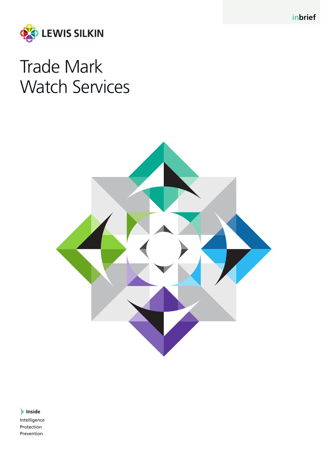**inbrief**



## Trade Mark Watch Services



**Inside** Intelligence Protection Prevention